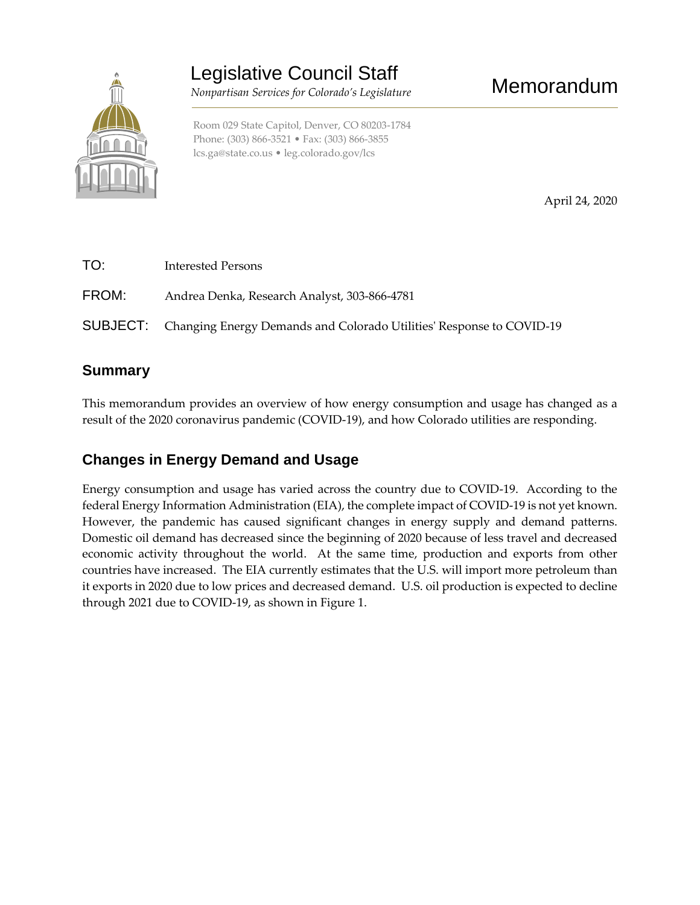

Legislative Council Staff

 *Nonpartisan Services for Colorado's Legislature*

Phone: (303) 866-3521 • Fax: (303) 866-3855 [lcs.ga@state.co.us](mailto:lcs.ga@state.co.us) • [leg.colorado.gov/lcs](http://leg.colorado.gov/lcs)

April 24, 2020

Memorandum

TO: Interested Persons FROM: Andrea Denka, Research Analyst, 303-866-4781 SUBJECT: Changing Energy Demands and Colorado Utilities' Response to COVID-19

## **Summary**

This memorandum provides an overview of how energy consumption and usage has changed as a result of the 2020 coronavirus pandemic (COVID-19), and how Colorado utilities are responding.

## **Changes in Energy Demand and Usage**

Energy consumption and usage has varied across the country due to COVID-19. According to the federal Energy Information Administration (EIA), the complete impact of COVID-19 is not yet known. However, the pandemic has caused significant changes in energy supply and demand patterns. Domestic oil demand has decreased since the beginning of 2020 because of less travel and decreased economic activity throughout the world. At the same time, production and exports from other countries have increased. The EIA currently estimates that the U.S. will import more petroleum than it exports in 2020 due to low prices and decreased demand. U.S. oil production is expected to decline through 2021 due to COVID-19, as shown in Figure 1.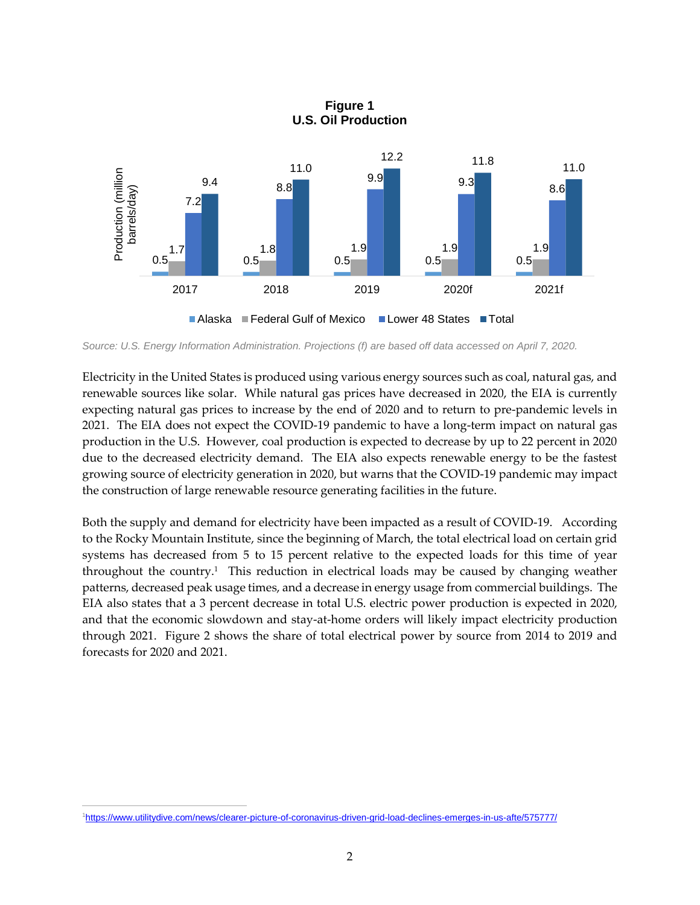

**Figure 1 U.S. Oil Production**

*Source: U.S. Energy Information Administration. Projections (f) are based off data accessed on April 7, 2020.* 

Electricity in the United States is produced using various energy sources such as coal, natural gas, and renewable sources like solar. While natural gas prices have decreased in 2020, the EIA is currently expecting natural gas prices to increase by the end of 2020 and to return to pre-pandemic levels in 2021. The EIA does not expect the COVID-19 pandemic to have a long-term impact on natural gas production in the U.S. However, coal production is expected to decrease by up to 22 percent in 2020 due to the decreased electricity demand. The EIA also expects renewable energy to be the fastest growing source of electricity generation in 2020, but warns that the COVID-19 pandemic may impact the construction of large renewable resource generating facilities in the future.

Both the supply and demand for electricity have been impacted as a result of COVID-19. According to the Rocky Mountain Institute, since the beginning of March, the total electrical load on certain grid systems has decreased from 5 to 15 percent relative to the expected loads for this time of year throughout the country.<sup>1</sup> This reduction in electrical loads may be caused by changing weather patterns, decreased peak usage times, and a decrease in energy usage from commercial buildings. The EIA also states that a 3 percent decrease in total U.S. electric power production is expected in 2020, and that the economic slowdown and stay-at-home orders will likely impact electricity production through 2021. Figure 2 shows the share of total electrical power by source from 2014 to 2019 and forecasts for 2020 and 2021.

 $\overline{a}$ 

<sup>1</sup><https://www.utilitydive.com/news/clearer-picture-of-coronavirus-driven-grid-load-declines-emerges-in-us-afte/575777/>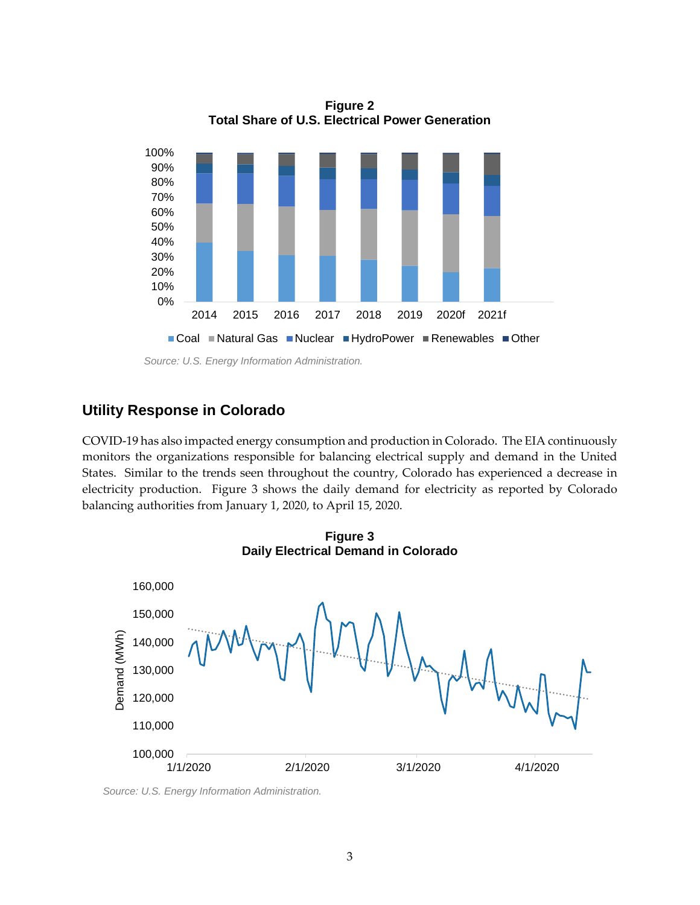

**Figure 2 Total Share of U.S. Electrical Power Generation**

## **Utility Response in Colorado**

COVID-19 has also impacted energy consumption and production in Colorado. The EIA continuously monitors the organizations responsible for balancing electrical supply and demand in the United States. Similar to the trends seen throughout the country, Colorado has experienced a decrease in electricity production. Figure 3 shows the daily demand for electricity as reported by Colorado balancing authorities from January 1, 2020, to April 15, 2020.



**Figure 3**

*Source: U.S. Energy Information Administration.*

*Source: U.S. Energy Information Administration.*